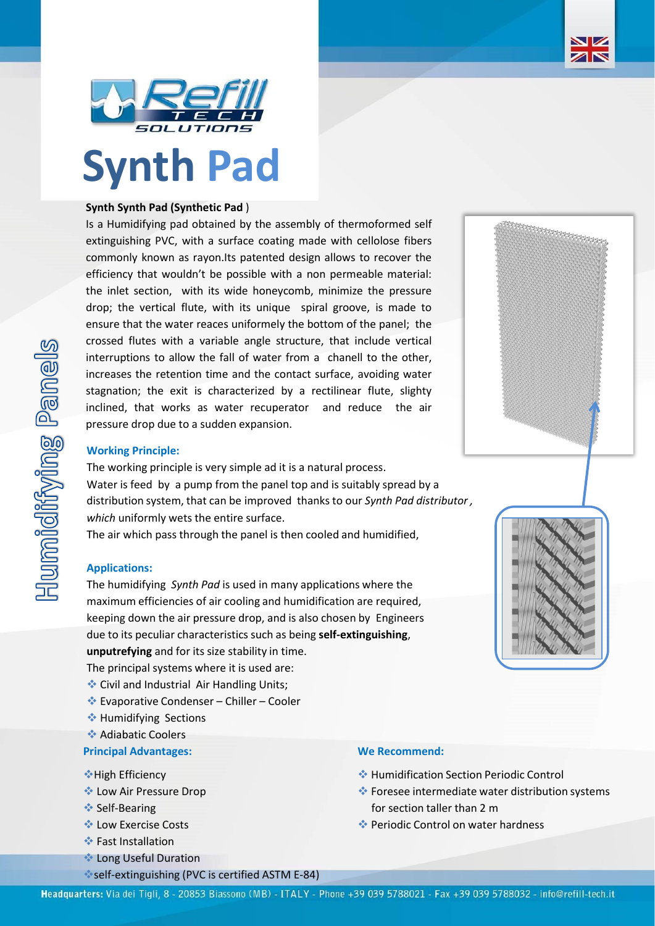



# **Synth Pad**

# **Synth Synth Pad (Synthetic Pad** )

Is a Humidifying pad obtained by the assembly of thermoformed self extinguishing PVC, with a surface coating made with cellolose fibers commonly known as rayon.Its patented design allows to recover the efficiency that wouldn't be possible with a non permeable material: the inlet section, with its wide honeycomb, minimize the pressure drop; the vertical flute, with its unique spiral groove, is made to ensure that the water reaces uniformely the bottom of the panel; the crossed flutes with a variable angle structure, that include vertical interruptions to allow the fall of water from a chanell to the other, increases the retention time and the contact surface, avoiding water stagnation; the exit is characterized by a rectilinear flute, slighty inclined, that works as water recuperator and reduce the air pressure drop due to a sudden expansion.



# **Working Principle:**

The working principle is very simple ad it is a natural process. Water is feed by a pump from the panel top and is suitably spread by a distribution system, that can be improved thanks to our *Synth Pad distributor , which* uniformly wets the entire surface.

The air which pass through the panel is then cooled and humidified,

### **Applications:**

The humidifying *Synth Pad* is used in many applications where the maximum efficiencies of air cooling and humidification are required, keeping down the air pressure drop, and is also chosen by Engineers due to its peculiar characteristics such as being **self-extinguishing**, **unputrefying** and for its size stability in time.

The principal systems where it is used are:

- ❖ Civil and Industrial Air Handling Units;
- ❖ Evaporative Condenser Chiller Cooler
- ❖ Humidifying Sections
- ❖ Adiabatic Coolers

# **Principal Advantages: We Recommend:**

- ❖High Efficiency
- ❖ Low Air Pressure Drop
- **❖ Self-Bearing**
- ❖ Low Exercise Costs
- ❖ Fast Installation
- ❖ Long Useful Duration
- ❖self-extinguishing (PVC is certified ASTM E-84)

- ❖ Humidification Section Periodic Control
- ❖ Foresee intermediate water distribution systems for section taller than 2 m
- ❖ Periodic Control on water hardness